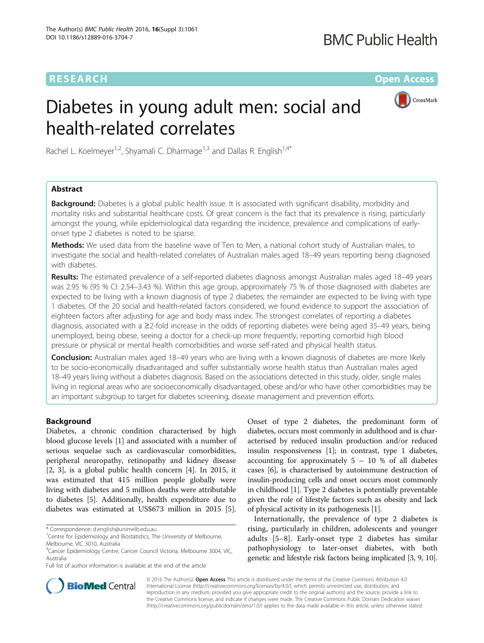# **RESEARCH CHE Open Access**

CrossMark

# Diabetes in young adult men: social and health-related correlates

Rachel L. Koelmeyer<sup>1,2</sup>, Shyamali C. Dharmage<sup>1,3</sup> and Dallas R. English<sup>1,4\*</sup>

# Abstract

Background: Diabetes is a global public health issue. It is associated with significant disability, morbidity and mortality risks and substantial healthcare costs. Of great concern is the fact that its prevalence is rising, particularly amongst the young, while epidemiological data regarding the incidence, prevalence and complications of earlyonset type 2 diabetes is noted to be sparse.

Methods: We used data from the baseline wave of Ten to Men, a national cohort study of Australian males, to investigate the social and health-related correlates of Australian males aged 18–49 years reporting being diagnosed with diabetes.

Results: The estimated prevalence of a self-reported diabetes diagnosis amongst Australian males aged 18-49 years was 2.95 % (95 % CI: 2.54–3.43 %). Within this age group, approximately 75 % of those diagnosed with diabetes are expected to be living with a known diagnosis of type 2 diabetes; the remainder are expected to be living with type 1 diabetes. Of the 20 social and health-related factors considered, we found evidence to support the association of eighteen factors after adjusting for age and body mass index. The strongest correlates of reporting a diabetes diagnosis, associated with a ≥2-fold increase in the odds of reporting diabetes were being aged 35–49 years, being unemployed, being obese, seeing a doctor for a check-up more frequently, reporting comorbid high blood pressure or physical or mental health comorbidities and worse self-rated and physical health status.

Conclusion: Australian males aged 18–49 years who are living with a known diagnosis of diabetes are more likely to be socio-economically disadvantaged and suffer substantially worse health status than Australian males aged 18–49 years living without a diabetes diagnosis. Based on the associations detected in this study, older, single males living in regional areas who are socioeconomically disadvantaged, obese and/or who have other comorbidities may be an important subgroup to target for diabetes screening, disease management and prevention efforts.

# Background

Diabetes, a chronic condition characterised by high blood glucose levels [[1\]](#page-5-0) and associated with a number of serious sequelae such as cardiovascular comorbidities, peripheral neuropathy, retinopathy and kidney disease [[2, 3\]](#page-6-0), is a global public health concern [[4\]](#page-6-0). In 2015, it was estimated that 415 million people globally were living with diabetes and 5 million deaths were attributable to diabetes [\[5\]](#page-6-0). Additionally, health expenditure due to diabetes was estimated at US\$673 million in 2015 [[5](#page-6-0)].

\* Correspondence: [d.english@unimelb.edu.au](mailto:d.english@unimelb.edu.au) <sup>1</sup>

Full list of author information is available at the end of the article

Onset of type 2 diabetes, the predominant form of diabetes, occurs most commonly in adulthood and is characterised by reduced insulin production and/or reduced insulin responsiveness [\[1\]](#page-5-0); in contrast, type 1 diabetes, accounting for approximately  $5 - 10$  % of all diabetes cases [\[6](#page-6-0)], is characterised by autoimmune destruction of insulin-producing cells and onset occurs most commonly in childhood [[1\]](#page-5-0). Type 2 diabetes is potentially preventable given the role of lifestyle factors such as obesity and lack of physical activity in its pathogenesis [\[1](#page-5-0)].

Internationally, the prevalence of type 2 diabetes is rising, particularly in children, adolescents and younger adults [[5](#page-6-0)–[8](#page-6-0)]. Early-onset type 2 diabetes has similar pathophysiology to later-onset diabetes, with both genetic and lifestyle risk factors being implicated [[3](#page-6-0), [9](#page-6-0), [10](#page-6-0)].



© 2016 The Author(s). Open Access This article is distributed under the terms of the Creative Commons Attribution 4.0 International License [\(http://creativecommons.org/licenses/by/4.0/](http://creativecommons.org/licenses/by/4.0/)), which permits unrestricted use, distribution, and reproduction in any medium, provided you give appropriate credit to the original author(s) and the source, provide a link to the Creative Commons license, and indicate if changes were made. The Creative Commons Public Domain Dedication waiver [\(http://creativecommons.org/publicdomain/zero/1.0/](http://creativecommons.org/publicdomain/zero/1.0/)) applies to the data made available in this article, unless otherwise stated.

<sup>&</sup>lt;sup>1</sup> Centre for Epidemiology and Biostatistics, The University of Melbourne, Melbourne, VIC 3010, Australia

<sup>&</sup>lt;sup>4</sup>Cancer Epidemiology Centre, Cancer Council Victoria, Melbourne 3004, VIC, Australia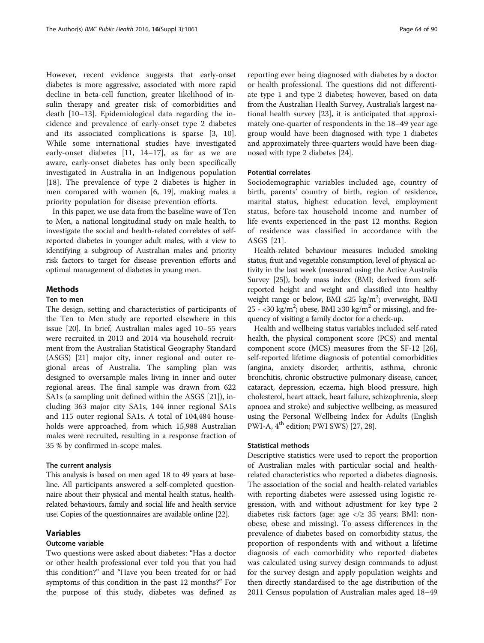However, recent evidence suggests that early-onset diabetes is more aggressive, associated with more rapid decline in beta-cell function, greater likelihood of insulin therapy and greater risk of comorbidities and death [[10](#page-6-0)–[13\]](#page-6-0). Epidemiological data regarding the incidence and prevalence of early-onset type 2 diabetes and its associated complications is sparse [[3, 10](#page-6-0)]. While some international studies have investigated early-onset diabetes [\[11](#page-6-0), [14](#page-6-0)–[17](#page-6-0)], as far as we are aware, early-onset diabetes has only been specifically investigated in Australia in an Indigenous population [[18\]](#page-6-0). The prevalence of type 2 diabetes is higher in men compared with women [[6, 19\]](#page-6-0), making males a priority population for disease prevention efforts.

In this paper, we use data from the baseline wave of Ten to Men, a national longitudinal study on male health, to investigate the social and health-related correlates of selfreported diabetes in younger adult males, with a view to identifying a subgroup of Australian males and priority risk factors to target for disease prevention efforts and optimal management of diabetes in young men.

# Methods

#### Ten to men

The design, setting and characteristics of participants of the Ten to Men study are reported elsewhere in this issue [\[20\]](#page-6-0). In brief, Australian males aged 10–55 years were recruited in 2013 and 2014 via household recruitment from the Australian Statistical Geography Standard (ASGS) [\[21\]](#page-6-0) major city, inner regional and outer regional areas of Australia. The sampling plan was designed to oversample males living in inner and outer regional areas. The final sample was drawn from 622 SA1s (a sampling unit defined within the ASGS [[21\]](#page-6-0)), including 363 major city SA1s, 144 inner regional SA1s and 115 outer regional SA1s. A total of 104,484 households were approached, from which 15,988 Australian males were recruited, resulting in a response fraction of 35 % by confirmed in-scope males.

# The current analysis

This analysis is based on men aged 18 to 49 years at baseline. All participants answered a self-completed questionnaire about their physical and mental health status, healthrelated behaviours, family and social life and health service use. Copies of the questionnaires are available online [\[22\]](#page-6-0).

# Variables

# Outcome variable

Two questions were asked about diabetes: "Has a doctor or other health professional ever told you that you had this condition?" and "Have you been treated for or had symptoms of this condition in the past 12 months?" For the purpose of this study, diabetes was defined as

reporting ever being diagnosed with diabetes by a doctor or health professional. The questions did not differentiate type 1 and type 2 diabetes; however, based on data from the Australian Health Survey, Australia's largest national health survey [\[23\]](#page-6-0), it is anticipated that approximately one-quarter of respondents in the 18–49 year age group would have been diagnosed with type 1 diabetes and approximately three-quarters would have been diagnosed with type 2 diabetes [[24](#page-6-0)].

# Potential correlates

Sociodemographic variables included age, country of birth, parents' country of birth, region of residence, marital status, highest education level, employment status, before-tax household income and number of life events experienced in the past 12 months. Region of residence was classified in accordance with the ASGS [[21\]](#page-6-0).

Health-related behaviour measures included smoking status, fruit and vegetable consumption, level of physical activity in the last week (measured using the Active Australia Survey [\[25\]](#page-6-0)), body mass index (BMI; derived from selfreported height and weight and classified into healthy weight range or below, BMI  $\leq 25$  kg/m<sup>2</sup>; overweight, BMI 25 - <30 kg/m<sup>2</sup>; obese, BMI ≥30 kg/m<sup>2</sup> or missing), and frequency of visiting a family doctor for a check-up.

Health and wellbeing status variables included self-rated health, the physical component score (PCS) and mental component score (MCS) measures from the SF-12 [[26](#page-6-0)], self-reported lifetime diagnosis of potential comorbidities (angina, anxiety disorder, arthritis, asthma, chronic bronchitis, chronic obstructive pulmonary disease, cancer, cataract, depression, eczema, high blood pressure, high cholesterol, heart attack, heart failure, schizophrenia, sleep apnoea and stroke) and subjective wellbeing, as measured using the Personal Wellbeing Index for Adults (English PWI-A, 4<sup>th</sup> edition; PWI SWS) [\[27, 28](#page-6-0)].

# Statistical methods

Descriptive statistics were used to report the proportion of Australian males with particular social and healthrelated characteristics who reported a diabetes diagnosis. The association of the social and health-related variables with reporting diabetes were assessed using logistic regression, with and without adjustment for key type 2 diabetes risk factors (age: age </ $\ge$  35 years; BMI: nonobese, obese and missing). To assess differences in the prevalence of diabetes based on comorbidity status, the proportion of respondents with and without a lifetime diagnosis of each comorbidity who reported diabetes was calculated using survey design commands to adjust for the survey design and apply population weights and then directly standardised to the age distribution of the 2011 Census population of Australian males aged 18–49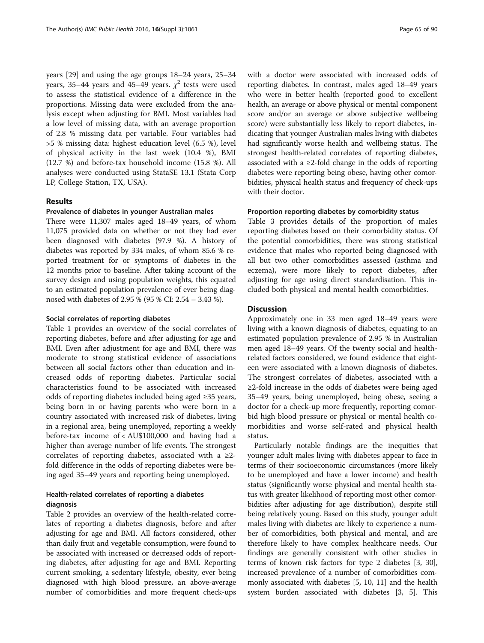years [\[29\]](#page-6-0) and using the age groups 18–24 years, 25–34 years, 35–44 years and 45–49 years.  $\chi^2$  tests were used to assess the statistical evidence of a difference in the proportions. Missing data were excluded from the analysis except when adjusting for BMI. Most variables had a low level of missing data, with an average proportion of 2.8 % missing data per variable. Four variables had >5 % missing data: highest education level (6.5 %), level of physical activity in the last week (10.4 %), BMI (12.7 %) and before-tax household income (15.8 %). All analyses were conducted using StataSE 13.1 (Stata Corp LP, College Station, TX, USA).

# Results

#### Prevalence of diabetes in younger Australian males

There were 11,307 males aged 18–49 years, of whom 11,075 provided data on whether or not they had ever been diagnosed with diabetes (97.9 %). A history of diabetes was reported by 334 males, of whom 85.6 % reported treatment for or symptoms of diabetes in the 12 months prior to baseline. After taking account of the survey design and using population weights, this equated to an estimated population prevalence of ever being diagnosed with diabetes of 2.95 % (95 % CI: 2.54 – 3.43 %).

#### Social correlates of reporting diabetes

Table [1](#page-3-0) provides an overview of the social correlates of reporting diabetes, before and after adjusting for age and BMI. Even after adjustment for age and BMI, there was moderate to strong statistical evidence of associations between all social factors other than education and increased odds of reporting diabetes. Particular social characteristics found to be associated with increased odds of reporting diabetes included being aged ≥35 years, being born in or having parents who were born in a country associated with increased risk of diabetes, living in a regional area, being unemployed, reporting a weekly before-tax income of < AU\$100,000 and having had a higher than average number of life events. The strongest correlates of reporting diabetes, associated with a  $\geq 2$ fold difference in the odds of reporting diabetes were being aged 35–49 years and reporting being unemployed.

# Health-related correlates of reporting a diabetes diagnosis

Table [2](#page-4-0) provides an overview of the health-related correlates of reporting a diabetes diagnosis, before and after adjusting for age and BMI. All factors considered, other than daily fruit and vegetable consumption, were found to be associated with increased or decreased odds of reporting diabetes, after adjusting for age and BMI. Reporting current smoking, a sedentary lifestyle, obesity, ever being diagnosed with high blood pressure, an above-average number of comorbidities and more frequent check-ups

with a doctor were associated with increased odds of reporting diabetes. In contrast, males aged 18–49 years who were in better health (reported good to excellent health, an average or above physical or mental component score and/or an average or above subjective wellbeing score) were substantially less likely to report diabetes, indicating that younger Australian males living with diabetes had significantly worse health and wellbeing status. The strongest health-related correlates of reporting diabetes, associated with a ≥2-fold change in the odds of reporting diabetes were reporting being obese, having other comorbidities, physical health status and frequency of check-ups with their doctor.

#### Proportion reporting diabetes by comorbidity status

Table [3](#page-5-0) provides details of the proportion of males reporting diabetes based on their comorbidity status. Of the potential comorbidities, there was strong statistical evidence that males who reported being diagnosed with all but two other comorbidities assessed (asthma and eczema), were more likely to report diabetes, after adjusting for age using direct standardisation. This included both physical and mental health comorbidities.

#### **Discussion**

Approximately one in 33 men aged 18–49 years were living with a known diagnosis of diabetes, equating to an estimated population prevalence of 2.95 % in Australian men aged 18–49 years. Of the twenty social and healthrelated factors considered, we found evidence that eighteen were associated with a known diagnosis of diabetes. The strongest correlates of diabetes, associated with a ≥2-fold increase in the odds of diabetes were being aged 35–49 years, being unemployed, being obese, seeing a doctor for a check-up more frequently, reporting comorbid high blood pressure or physical or mental health comorbidities and worse self-rated and physical health status.

Particularly notable findings are the inequities that younger adult males living with diabetes appear to face in terms of their socioeconomic circumstances (more likely to be unemployed and have a lower income) and health status (significantly worse physical and mental health status with greater likelihood of reporting most other comorbidities after adjusting for age distribution), despite still being relatively young. Based on this study, younger adult males living with diabetes are likely to experience a number of comorbidities, both physical and mental, and are therefore likely to have complex healthcare needs. Our findings are generally consistent with other studies in terms of known risk factors for type 2 diabetes [\[3](#page-6-0), [30](#page-6-0)], increased prevalence of a number of comorbidities commonly associated with diabetes [\[5](#page-6-0), [10, 11\]](#page-6-0) and the health system burden associated with diabetes [[3](#page-6-0), [5](#page-6-0)]. This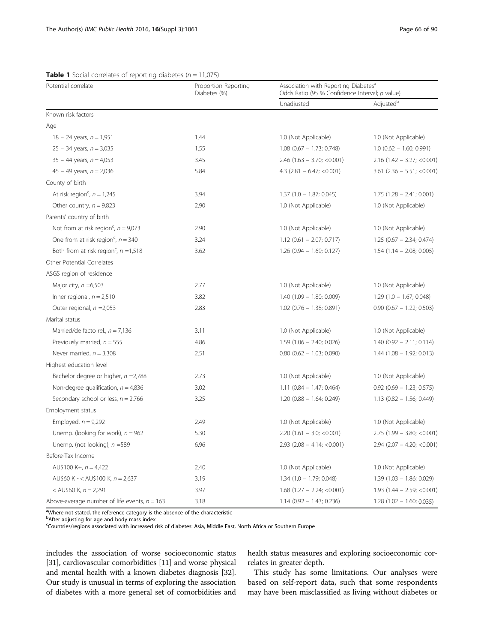| Potential correlate                                 | Proportion Reporting<br>Diabetes (%) | Association with Reporting Diabetes <sup>a</sup><br>Odds Ratio (95 % Confidence Interval; p value) |                              |  |
|-----------------------------------------------------|--------------------------------------|----------------------------------------------------------------------------------------------------|------------------------------|--|
|                                                     |                                      | Unadjusted                                                                                         | Adjusted <sup>b</sup>        |  |
| Known risk factors                                  |                                      |                                                                                                    |                              |  |
| Age                                                 |                                      |                                                                                                    |                              |  |
| $18 - 24$ years, $n = 1,951$                        | 1.44                                 | 1.0 (Not Applicable)                                                                               | 1.0 (Not Applicable)         |  |
| $25 - 34$ years, $n = 3,035$                        | 1.55                                 | $1.08$ (0.67 - 1.73; 0.748)                                                                        | $1.0$ (0.62 - 1.60; 0.991)   |  |
| $35 - 44$ years, $n = 4,053$                        | 3.45                                 | $2.46$ (1.63 - 3.70; <0.001)                                                                       | $2.16$ (1.42 - 3.27; <0.001) |  |
| 45 - 49 years, $n = 2,036$                          | 5.84                                 | 4.3 $(2.81 - 6.47; < 0.001)$                                                                       | $3.61$ (2.36 - 5.51; <0.001) |  |
| County of birth                                     |                                      |                                                                                                    |                              |  |
| At risk region <sup>c</sup> , $n = 1,245$           | 3.94                                 | $1.37(1.0 - 1.87; 0.045)$                                                                          | $1.75(1.28 - 2.41; 0.001)$   |  |
| Other country, $n = 9,823$                          | 2.90                                 | 1.0 (Not Applicable)                                                                               | 1.0 (Not Applicable)         |  |
| Parents' country of birth                           |                                      |                                                                                                    |                              |  |
| Not from at risk region <sup>c</sup> , $n = 9,073$  | 2.90                                 | 1.0 (Not Applicable)                                                                               | 1.0 (Not Applicable)         |  |
| One from at risk region <sup>c</sup> , $n = 340$    | 3.24                                 | $1.12$ (0.61 - 2.07; 0.717)                                                                        | $1.25(0.67 - 2.34; 0.474)$   |  |
| Both from at risk region <sup>c</sup> , $n = 1,518$ | 3.62                                 | $1.26$ (0.94 - 1.69; 0.127)                                                                        | $1.54$ (1.14 - 2.08; 0.005)  |  |
| Other Potential Correlates                          |                                      |                                                                                                    |                              |  |
| ASGS region of residence                            |                                      |                                                                                                    |                              |  |
| Major city, $n = 6,503$                             | 2.77                                 | 1.0 (Not Applicable)                                                                               | 1.0 (Not Applicable)         |  |
| Inner regional, $n = 2,510$                         | 3.82                                 | $1.40(1.09 - 1.80; 0.009)$                                                                         | $1.29(1.0 - 1.67; 0.048)$    |  |
| Outer regional, $n = 2,053$                         | 2.83                                 | $1.02$ (0.76 - 1.38; 0.891)                                                                        | $0.90$ (0.67 - 1.22; 0.503)  |  |
| Marital status                                      |                                      |                                                                                                    |                              |  |
| Married/de facto rel., $n = 7,136$                  | 3.11                                 | 1.0 (Not Applicable)                                                                               | 1.0 (Not Applicable)         |  |
| Previously married, $n = 555$                       | 4.86                                 | $1.59(1.06 - 2.40; 0.026)$                                                                         | $1.40(0.92 - 2.11; 0.114)$   |  |
| Never married, $n = 3,308$                          | 2.51                                 | $0.80$ (0.62 - 1.03; 0.090)                                                                        | $1.44$ (1.08 - 1.92; 0.013)  |  |
| Highest education level                             |                                      |                                                                                                    |                              |  |
| Bachelor degree or higher, $n = 2,788$              | 2.73                                 | 1.0 (Not Applicable)                                                                               | 1.0 (Not Applicable)         |  |
| Non-degree qualification, $n = 4,836$               | 3.02                                 | $1.11$ (0.84 - 1.47; 0.464)                                                                        | $0.92$ (0.69 - 1.23; 0.575)  |  |
| Secondary school or less, $n = 2,766$               | 3.25                                 | $1.20$ (0.88 - 1.64; 0.249)                                                                        | $1.13$ (0.82 - 1.56; 0.449)  |  |
| Employment status                                   |                                      |                                                                                                    |                              |  |
| Employed, $n = 9,292$                               | 2.49                                 | 1.0 (Not Applicable)                                                                               | 1.0 (Not Applicable)         |  |
| Unemp. (looking for work), $n = 962$                | 5.30                                 | $2.20$ (1.61 - 3.0; < 0.001)                                                                       | $2.75$ (1.99 - 3.80; <0.001) |  |
| Unemp. (not looking), $n = 589$                     | 6.96                                 | $2.93$ (2.08 - 4.14; < 0.001)                                                                      | $2.94$ (2.07 - 4.20; <0.001) |  |
| Before-Tax Income                                   |                                      |                                                                                                    |                              |  |
| AU\$100 K+, $n = 4,422$                             | 2.40                                 | 1.0 (Not Applicable)                                                                               | 1.0 (Not Applicable)         |  |
| AU\$60 K - < AU\$100 K, $n = 2,637$                 | 3.19                                 | $1.34$ (1.0 - 1.79; 0.048)                                                                         | $1.39$ (1.03 - 1.86; 0.029)  |  |
| < AU\$60 K, $n = 2,291$                             | 3.97                                 | $1.68$ (1.27 - 2.24; <0.001)                                                                       | $1.93(1.44 - 2.59; < 0.001)$ |  |
| Above-average number of life events, $n = 163$      | 3.18                                 | $1.14$ (0.92 - 1.43; 0.236)                                                                        | $1.28$ (1.02 - 1.60; 0.035)  |  |

# <span id="page-3-0"></span>**Table 1** Social correlates of reporting diabetes  $(n = 11,075)$

<sup>a</sup>Where not stated, the reference category is the absence of the characteristic

<sup>b</sup>After adjusting for age and body mass index

<sup>c</sup>Countries/regions associated with increased risk of diabetes: Asia, Middle East, North Africa or Southern Europe

includes the association of worse socioeconomic status [[31](#page-6-0)], cardiovascular comorbidities [[11](#page-6-0)] and worse physical and mental health with a known diabetes diagnosis [[32](#page-6-0)]. Our study is unusual in terms of exploring the association of diabetes with a more general set of comorbidities and

health status measures and exploring socioeconomic correlates in greater depth.

This study has some limitations. Our analyses were based on self-report data, such that some respondents may have been misclassified as living without diabetes or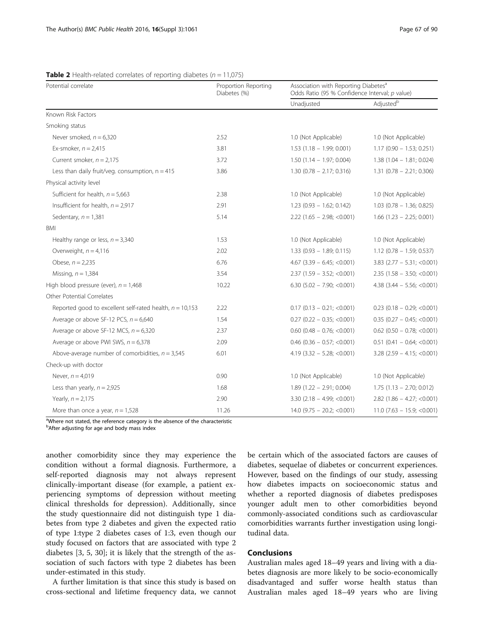| Potential correlate                                        | Proportion Reporting<br>Diabetes (%) | Association with Reporting Diabetes <sup>a</sup><br>Odds Ratio (95 % Confidence Interval; p value) |                               |
|------------------------------------------------------------|--------------------------------------|----------------------------------------------------------------------------------------------------|-------------------------------|
|                                                            |                                      | Unadjusted                                                                                         | Adjusted <sup>b</sup>         |
| Known Risk Factors                                         |                                      |                                                                                                    |                               |
| Smoking status                                             |                                      |                                                                                                    |                               |
| Never smoked, $n = 6,320$                                  | 2.52                                 | 1.0 (Not Applicable)                                                                               | 1.0 (Not Applicable)          |
| Ex-smoker, $n = 2,415$                                     | 3.81                                 | $1.53$ (1.18 - 1.99; 0.001)                                                                        | $1.17(0.90 - 1.53; 0.251)$    |
| Current smoker, $n = 2,175$                                | 3.72                                 | $1.50(1.14 - 1.97; 0.004)$                                                                         | $1.38(1.04 - 1.81; 0.024)$    |
| Less than daily fruit/veg. consumption, $n = 415$          | 3.86                                 | $1.30$ (0.78 - 2.17; 0.316)                                                                        | $1.31$ (0.78 - 2.21; 0.306)   |
| Physical activity level                                    |                                      |                                                                                                    |                               |
| Sufficient for health, $n = 5,663$                         | 2.38                                 | 1.0 (Not Applicable)                                                                               | 1.0 (Not Applicable)          |
| Insufficient for health, $n = 2.917$                       | 2.91                                 | $1.23$ (0.93 - 1.62; 0.142)                                                                        | $1.03$ (0.78 - 1.36; 0.825)   |
| Sedentary, $n = 1,381$                                     | 5.14                                 | $2.22$ (1.65 - 2.98; < 0.001)                                                                      | $1.66$ (1.23 - 2.25; 0.001)   |
| BMI                                                        |                                      |                                                                                                    |                               |
| Healthy range or less, $n = 3,340$                         | 1.53                                 | 1.0 (Not Applicable)                                                                               | 1.0 (Not Applicable)          |
| Overweight, $n = 4,116$                                    | 2.02                                 | $1.33$ (0.93 - 1.89; 0.115)                                                                        | $1.12$ (0.78 - 1.59; 0.537)   |
| Obese, $n = 2,235$                                         | 6.76                                 | $4.67$ (3.39 - 6.45; <0.001)                                                                       | $3.83$ (2.77 - 5.31; <0.001)  |
| Missing, $n = 1,384$                                       | 3.54                                 | $2.37(1.59 - 3.52; < 0.001)$                                                                       | $2.35$ (1.58 - 3.50; <0.001)  |
| High blood pressure (ever), $n = 1,468$                    | 10.22                                | $6.30$ (5.02 - 7.90; <0.001)                                                                       | $4.38$ (3.44 - 5.56; < 0.001) |
| Other Potential Correlates                                 |                                      |                                                                                                    |                               |
| Reported good to excellent self-rated health, $n = 10,153$ | 2.22                                 | $0.17$ (0.13 - 0.21; <0.001)                                                                       | $0.23$ (0.18 - 0.29; <0.001)  |
| Average or above SF-12 PCS, $n = 6,640$                    | 1.54                                 | $0.27$ (0.22 - 0.35; <0.001)                                                                       | $0.35$ (0.27 - 0.45; <0.001)  |
| Average or above SF-12 MCS, $n = 6,320$                    | 2.37                                 | $0.60$ (0.48 - 0.76; <0.001)                                                                       | $0.62$ (0.50 - 0.78; <0.001)  |
| Average or above PWI SWS, $n = 6,378$                      | 2.09                                 | $0.46$ (0.36 - 0.57; <0.001)                                                                       | $0.51$ (0.41 - 0.64; <0.001)  |
| Above-average number of comorbidities, $n = 3,545$         | 6.01                                 | $4.19$ (3.32 - 5.28; <0.001)                                                                       | $3.28$ (2.59 - 4.15; < 0.001) |
| Check-up with doctor                                       |                                      |                                                                                                    |                               |
| Never, $n = 4,019$                                         | 0.90                                 | 1.0 (Not Applicable)                                                                               | 1.0 (Not Applicable)          |
| Less than yearly, $n = 2,925$                              | 1.68                                 | $1.89(1.22 - 2.91; 0.004)$                                                                         | $1.75$ $(1.13 - 2.70; 0.012)$ |
| Yearly, $n = 2,175$                                        | 2.90                                 | $3.30$ (2.18 - 4.99; < 0.001)                                                                      | $2.82$ (1.86 - 4.27; < 0.001) |
| More than once a year, $n = 1,528$                         | 11.26                                | $14.0$ (9.75 - 20.2; <0.001)                                                                       | $11.0$ (7.63 - 15.9; <0.001)  |

<span id="page-4-0"></span>**Table 2** Health-related correlates of reporting diabetes ( $n = 11,075$ )

<sup>a</sup>Where not stated, the reference category is the absence of the characteristic

<sup>b</sup>After adjusting for age and body mass index

another comorbidity since they may experience the condition without a formal diagnosis. Furthermore, a self-reported diagnosis may not always represent clinically-important disease (for example, a patient experiencing symptoms of depression without meeting clinical thresholds for depression). Additionally, since the study questionnaire did not distinguish type 1 diabetes from type 2 diabetes and given the expected ratio of type 1:type 2 diabetes cases of 1:3, even though our study focused on factors that are associated with type 2 diabetes [\[3](#page-6-0), [5](#page-6-0), [30\]](#page-6-0); it is likely that the strength of the association of such factors with type 2 diabetes has been under-estimated in this study.

A further limitation is that since this study is based on cross-sectional and lifetime frequency data, we cannot be certain which of the associated factors are causes of diabetes, sequelae of diabetes or concurrent experiences. However, based on the findings of our study, assessing how diabetes impacts on socioeconomic status and whether a reported diagnosis of diabetes predisposes younger adult men to other comorbidities beyond commonly-associated conditions such as cardiovascular comorbidities warrants further investigation using longitudinal data.

# **Conclusions**

Australian males aged 18–49 years and living with a diabetes diagnosis are more likely to be socio-economically disadvantaged and suffer worse health status than Australian males aged 18–49 years who are living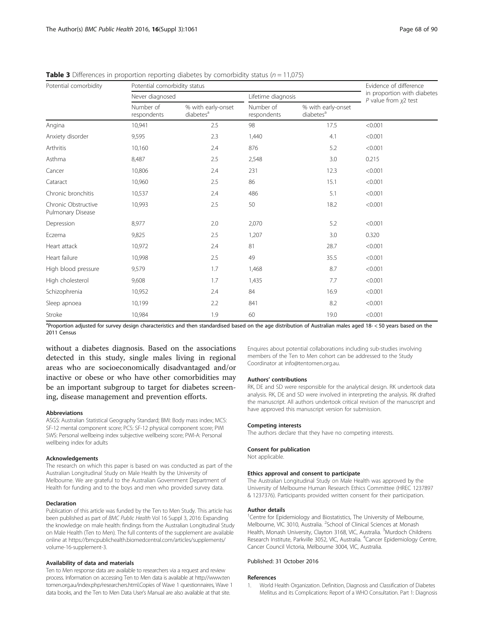| Potential comorbidity                    |                          | Potential comorbidity status                |                          |                                             |                                                          |
|------------------------------------------|--------------------------|---------------------------------------------|--------------------------|---------------------------------------------|----------------------------------------------------------|
|                                          |                          | Never diagnosed                             |                          | Lifetime diagnosis                          | in proportion with diabetes<br>$P$ value from $x^2$ test |
|                                          | Number of<br>respondents | % with early-onset<br>diabetes <sup>a</sup> | Number of<br>respondents | % with early-onset<br>diabetes <sup>a</sup> |                                                          |
| Angina                                   | 10,941                   | 2.5                                         | 98                       | 17.5                                        | < 0.001                                                  |
| Anxiety disorder                         | 9,595                    | 2.3                                         | 1,440                    | 4.1                                         | < 0.001                                                  |
| Arthritis                                | 10,160                   | 2.4                                         | 876                      | 5.2                                         | < 0.001                                                  |
| Asthma                                   | 8,487                    | 2.5                                         | 2,548                    | 3.0                                         | 0.215                                                    |
| Cancer                                   | 10,806                   | 2.4                                         | 231                      | 12.3                                        | < 0.001                                                  |
| Cataract                                 | 10,960                   | 2.5                                         | 86                       | 15.1                                        | < 0.001                                                  |
| Chronic bronchitis                       | 10,537                   | 2.4                                         | 486                      | 5.1                                         | < 0.001                                                  |
| Chronic Obstructive<br>Pulmonary Disease | 10,993                   | 2.5                                         | 50                       | 18.2                                        | < 0.001                                                  |
| Depression                               | 8,977                    | 2.0                                         | 2,070                    | 5.2                                         | < 0.001                                                  |
| Eczema                                   | 9,825                    | 2.5                                         | 1,207                    | 3.0                                         | 0.320                                                    |
| Heart attack                             | 10,972                   | 2.4                                         | 81                       | 28.7                                        | < 0.001                                                  |
| Heart failure                            | 10,998                   | 2.5                                         | 49                       | 35.5                                        | < 0.001                                                  |
| High blood pressure                      | 9,579                    | 1.7                                         | 1,468                    | 8.7                                         | < 0.001                                                  |
| High cholesterol                         | 9,608                    | 1.7                                         | 1,435                    | 7.7                                         | < 0.001                                                  |
| Schizophrenia                            | 10,952                   | 2.4                                         | 84                       | 16.9                                        | < 0.001                                                  |
| Sleep apnoea                             | 10,199                   | 2.2                                         | 841                      | 8.2                                         | < 0.001                                                  |
| Stroke                                   | 10,984                   | 1.9                                         | 60                       | 19.0                                        | < 0.001                                                  |

<span id="page-5-0"></span>**Table 3** Differences in proportion reporting diabetes by comorbidity status ( $n = 11,075$ )

<sup>a</sup>Proportion adjusted for survey design characteristics and then standardised based on the age distribution of Australian males aged 18- < 50 years based on the 2011 Census

without a diabetes diagnosis. Based on the associations detected in this study, single males living in regional areas who are socioeconomically disadvantaged and/or inactive or obese or who have other comorbidities may be an important subgroup to target for diabetes screening, disease management and prevention efforts.

#### Abbreviations

ASGS: Australian Statistical Geography Standard; BMI: Body mass index; MCS: SF-12 mental component score; PCS: SF-12 physical component score; PWI SWS: Personal wellbeing index subjective wellbeing score; PWI-A: Personal wellbeing index for adults

#### Acknowledgements

The research on which this paper is based on was conducted as part of the Australian Longitudinal Study on Male Health by the University of Melbourne. We are grateful to the Australian Government Department of Health for funding and to the boys and men who provided survey data.

#### Declaration

Publication of this article was funded by the Ten to Men Study. This article has been published as part of BMC Public Health Vol 16 Suppl 3, 2016: Expanding the knowledge on male health: findings from the Australian Longitudinal Study on Male Health (Ten to Men). The full contents of the supplement are available online at [https://bmcpublichealth.biomedcentral.com/articles/supplements/](https://bmcpublichealth.biomedcentral.com/articles/supplements/volume-16-supplement-3) [volume-16-supplement-3.](https://bmcpublichealth.biomedcentral.com/articles/supplements/volume-16-supplement-3)

#### Availability of data and materials

Ten to Men response data are available to researchers via a request and review process. Information on accessing Ten to Men data is available at [http://www.ten](http://www.tentomen.org.au/index.php/researchers.html.Copies) [tomen.org.au/index.php/researchers.html.Copies](http://www.tentomen.org.au/index.php/researchers.html.Copies) of Wave 1 questionnaires, Wave 1 data books, and the Ten to Men Data User's Manual are also available at that site.

Enquires about potential collaborations including sub-studies involving members of the Ten to Men cohort can be addressed to the Study Coordinator at info@tentomen.org.au.

#### Authors' contributions

RK, DE and SD were responsible for the analytical design. RK undertook data analysis. RK, DE and SD were involved in interpreting the analysis. RK drafted the manuscript. All authors undertook critical revision of the manuscript and have approved this manuscript version for submission.

#### Competing interests

The authors declare that they have no competing interests.

#### Consent for publication

Not applicable.

#### Ethics approval and consent to participate

The Australian Longitudinal Study on Male Health was approved by the University of Melbourne Human Research Ethics Committee (HREC 1237897 & 1237376). Participants provided written consent for their participation.

#### Author details

<sup>1</sup> Centre for Epidemiology and Biostatistics, The University of Melbourne, Melbourne, VIC 3010, Australia. <sup>2</sup>School of Clinical Sciences at Monash Health, Monash University, Clayton 3168, VIC, Australia. <sup>3</sup>Murdoch Childrens Research Institute, Parkville 3052, VIC, Australia. <sup>4</sup>Cancer Epidemiology Centre Cancer Council Victoria, Melbourne 3004, VIC, Australia.

#### Published: 31 October 2016

#### References

1. World Health Organization. Definition, Diagnosis and Classification of Diabetes Mellitus and its Complications: Report of a WHO Consultation. Part 1: Diagnosis